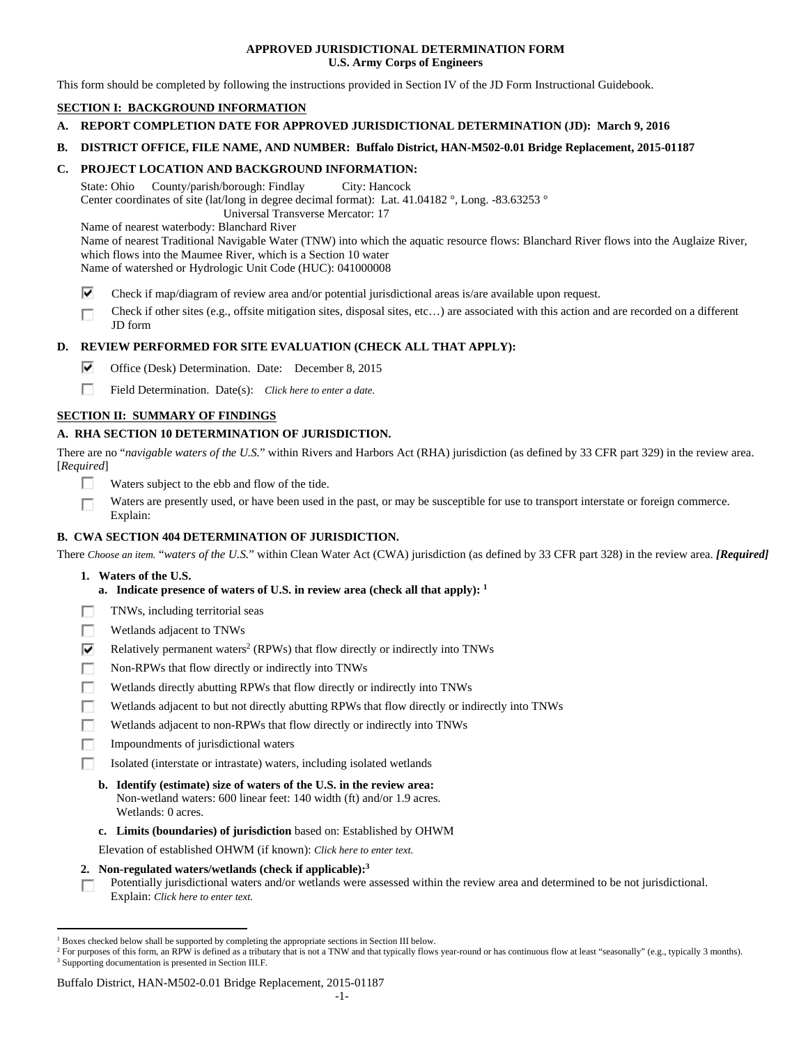## **APPROVED JURISDICTIONAL DETERMINATION FORM U.S. Army Corps of Engineers**

This form should be completed by following the instructions provided in Section IV of the JD Form Instructional Guidebook.

# **SECTION I: BACKGROUND INFORMATION**

- **A. REPORT COMPLETION DATE FOR APPROVED JURISDICTIONAL DETERMINATION (JD): March 9, 2016**
- **B. DISTRICT OFFICE, FILE NAME, AND NUMBER: Buffalo District, HAN-M502-0.01 Bridge Replacement, 2015-01187**

## **C. PROJECT LOCATION AND BACKGROUND INFORMATION:**

State: Ohio County/parish/borough: Findlay City: Hancock Center coordinates of site (lat/long in degree decimal format): Lat. 41.04182 °, Long. -83.63253 ° Universal Transverse Mercator: 17

Name of nearest waterbody: Blanchard River

Name of nearest Traditional Navigable Water (TNW) into which the aquatic resource flows: Blanchard River flows into the Auglaize River, which flows into the Maumee River, which is a Section 10 water Name of watershed or Hydrologic Unit Code (HUC): 041000008

- ⊽ Check if map/diagram of review area and/or potential jurisdictional areas is/are available upon request.
- Check if other sites (e.g., offsite mitigation sites, disposal sites, etc…) are associated with this action and are recorded on a different г JD form

# **D. REVIEW PERFORMED FOR SITE EVALUATION (CHECK ALL THAT APPLY):**

- ⊽. Office (Desk) Determination. Date: December 8, 2015
- п. Field Determination. Date(s): *Click here to enter a date.*

# **SECTION II: SUMMARY OF FINDINGS**

# **A. RHA SECTION 10 DETERMINATION OF JURISDICTION.**

There are no "*navigable waters of the U.S.*" within Rivers and Harbors Act (RHA) jurisdiction (as defined by 33 CFR part 329) in the review area. [*Required*]

- п Waters subject to the ebb and flow of the tide.
- Waters are presently used, or have been used in the past, or may be susceptible for use to transport interstate or foreign commerce. П Explain:

# **B. CWA SECTION 404 DETERMINATION OF JURISDICTION.**

There *Choose an item.* "*waters of the U.S.*" within Clean Water Act (CWA) jurisdiction (as defined by 33 CFR part 328) in the review area. *[Required]*

 **1. Waters of the U.S.** 

 $\overline{a}$ 

- **a. Indicate presence of waters of U.S. in review area (check all that apply): 1**
- TNWs, including territorial seas Е
- Wetlands adjacent to TNWs п
- ⊽ Relatively permanent waters<sup>2</sup> (RPWs) that flow directly or indirectly into TNWs
- г Non-RPWs that flow directly or indirectly into TNWs
- п Wetlands directly abutting RPWs that flow directly or indirectly into TNWs
- Е Wetlands adjacent to but not directly abutting RPWs that flow directly or indirectly into TNWs
- г Wetlands adjacent to non-RPWs that flow directly or indirectly into TNWs
- п Impoundments of jurisdictional waters
- п Isolated (interstate or intrastate) waters, including isolated wetlands
	- **b. Identify (estimate) size of waters of the U.S. in the review area:**  Non-wetland waters: 600 linear feet: 140 width (ft) and/or 1.9 acres. Wetlands: 0 acres.
	- **c. Limits (boundaries) of jurisdiction** based on: Established by OHWM

Elevation of established OHWM (if known): *Click here to enter text.*

 **2. Non-regulated waters/wetlands (check if applicable):3**

Potentially jurisdictional waters and/or wetlands were assessed within the review area and determined to be not jurisdictional. П. Explain: *Click here to enter text.*

Buffalo District, HAN-M502-0.01 Bridge Replacement, 2015-01187

<sup>&</sup>lt;sup>1</sup> Boxes checked below shall be supported by completing the appropriate sections in Section III below.<br><sup>2</sup> For purposes of this form, an PPW is defined as a tributary that is not a TNW and that typically flows

For purposes of this form, an RPW is defined as a tributary that is not a TNW and that typically flows year-round or has continuous flow at least "seasonally" (e.g., typically 3 months). <sup>3</sup> Supporting documentation is presented in Section III.F.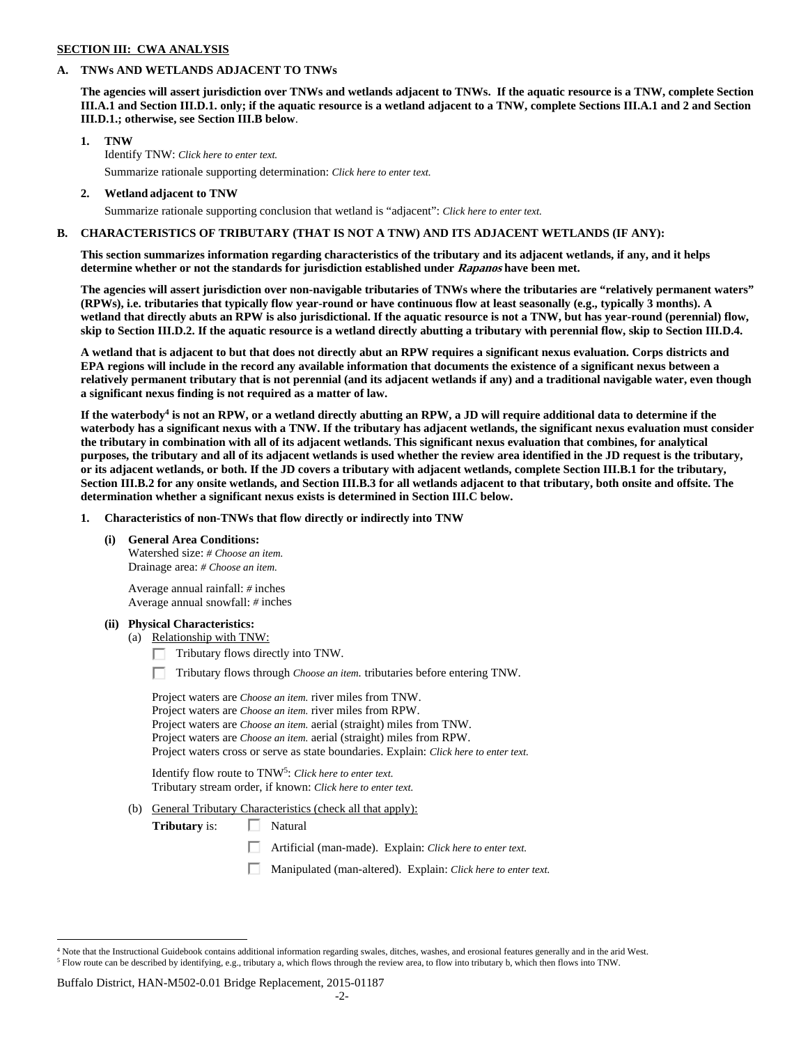## **SECTION III: CWA ANALYSIS**

### **A. TNWs AND WETLANDS ADJACENT TO TNWs**

**The agencies will assert jurisdiction over TNWs and wetlands adjacent to TNWs. If the aquatic resource is a TNW, complete Section III.A.1 and Section III.D.1. only; if the aquatic resource is a wetland adjacent to a TNW, complete Sections III.A.1 and 2 and Section III.D.1.; otherwise, see Section III.B below**.

### **1. TNW**

 Identify TNW: *Click here to enter text.* Summarize rationale supporting determination: *Click here to enter text.*

 **2. Wetland adjacent to TNW** 

Summarize rationale supporting conclusion that wetland is "adjacent": *Click here to enter text.*

### **B. CHARACTERISTICS OF TRIBUTARY (THAT IS NOT A TNW) AND ITS ADJACENT WETLANDS (IF ANY):**

**This section summarizes information regarding characteristics of the tributary and its adjacent wetlands, if any, and it helps determine whether or not the standards for jurisdiction established under Rapanos have been met.** 

**The agencies will assert jurisdiction over non-navigable tributaries of TNWs where the tributaries are "relatively permanent waters" (RPWs), i.e. tributaries that typically flow year-round or have continuous flow at least seasonally (e.g., typically 3 months). A wetland that directly abuts an RPW is also jurisdictional. If the aquatic resource is not a TNW, but has year-round (perennial) flow, skip to Section III.D.2. If the aquatic resource is a wetland directly abutting a tributary with perennial flow, skip to Section III.D.4.** 

**A wetland that is adjacent to but that does not directly abut an RPW requires a significant nexus evaluation. Corps districts and EPA regions will include in the record any available information that documents the existence of a significant nexus between a relatively permanent tributary that is not perennial (and its adjacent wetlands if any) and a traditional navigable water, even though a significant nexus finding is not required as a matter of law.** 

If the waterbody<sup>4</sup> is not an RPW, or a wetland directly abutting an RPW, a JD will require additional data to determine if the **waterbody has a significant nexus with a TNW. If the tributary has adjacent wetlands, the significant nexus evaluation must consider the tributary in combination with all of its adjacent wetlands. This significant nexus evaluation that combines, for analytical purposes, the tributary and all of its adjacent wetlands is used whether the review area identified in the JD request is the tributary, or its adjacent wetlands, or both. If the JD covers a tributary with adjacent wetlands, complete Section III.B.1 for the tributary, Section III.B.2 for any onsite wetlands, and Section III.B.3 for all wetlands adjacent to that tributary, both onsite and offsite. The determination whether a significant nexus exists is determined in Section III.C below.** 

 **1. Characteristics of non-TNWs that flow directly or indirectly into TNW** 

#### **(i) General Area Conditions:**

 Watershed size: *# Choose an item.* Drainage area: *# Choose an item.*

 Average annual rainfall: *#* inches Average annual snowfall: *#* inches

#### **(ii) Physical Characteristics:**

(a) Relationship with TNW:

 $\Box$  Tributary flows directly into TNW.

п Tributary flows through *Choose an item.* tributaries before entering TNW.

 Project waters are *Choose an item.* river miles from TNW. Project waters are *Choose an item.* river miles from RPW. Project waters are *Choose an item.* aerial (straight) miles from TNW. Project waters are *Choose an item.* aerial (straight) miles from RPW. Project waters cross or serve as state boundaries. Explain: *Click here to enter text.*

Identify flow route to TNW5: *Click here to enter text.* Tributary stream order, if known: *Click here to enter text.*

(b) General Tributary Characteristics (check all that apply):

**Tributary** is:  $\Box$  Natural

口 Artificial (man-made). Explain: *Click here to enter text.*

Manipulated (man-altered). Explain: *Click here to enter text.*

#### Buffalo District, HAN-M502-0.01 Bridge Replacement, 2015-01187

 $\overline{a}$ 

<sup>&</sup>lt;sup>4</sup> Note that the Instructional Guidebook contains additional information regarding swales, ditches, washes, and erosional features generally and in the arid West.  $^5$  Flow route can be described by identifying, e.g., tributary a, which flows through the review area, to flow into tributary b, which then flows into TNW.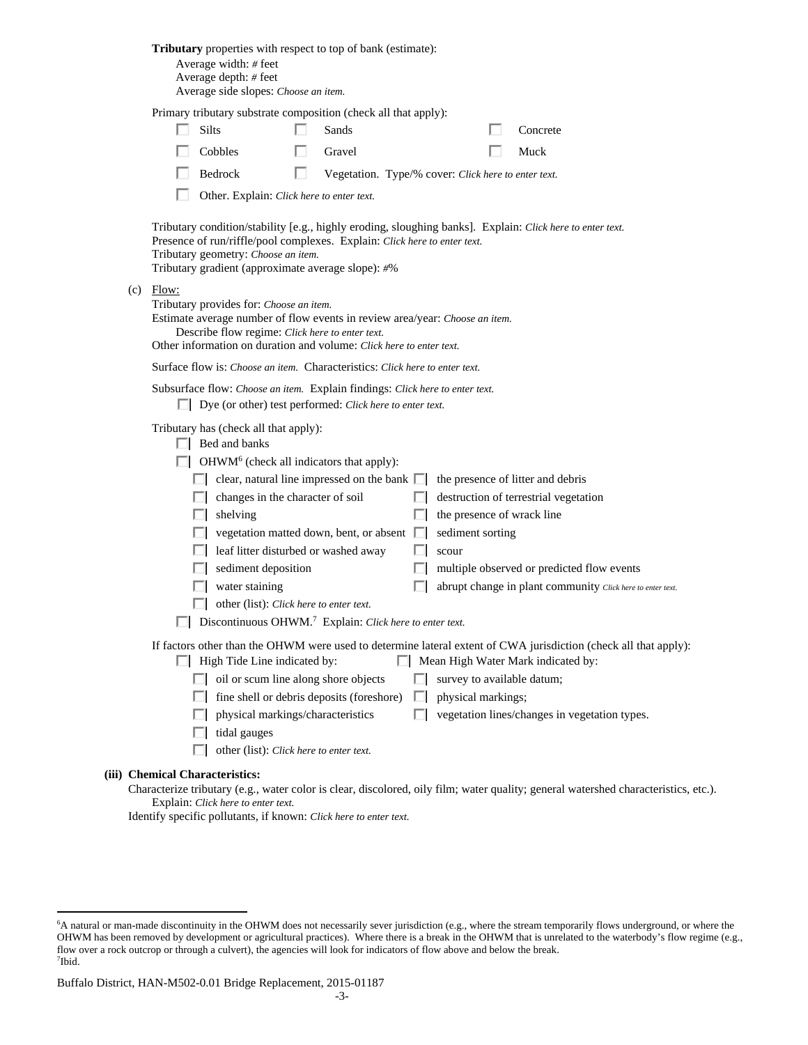| Tributary properties with respect to top of bank (estimate): |  |  |
|--------------------------------------------------------------|--|--|
|--------------------------------------------------------------|--|--|

 Average width: *#* feet Average depth: *#* feet

Average side slopes: *Choose an item.*

|       | Primary tributary substrate composition (check all that apply): |          |
|-------|-----------------------------------------------------------------|----------|
| Silts | Sands                                                           | Concrete |

| $\Box$ $\Box$  | $\Box$ allus  | <b>COLLE</b> |
|----------------|---------------|--------------|
| $\Box$ Cobbles | $\Box$ Gravel | $\Box$ Muck  |
|                |               |              |

| Vegetation. Type/% cover: Click here to enter text. |
|-----------------------------------------------------|
|                                                     |

П. Other. Explain: *Click here to enter text.*

 Tributary condition/stability [e.g., highly eroding, sloughing banks]. Explain: *Click here to enter text.* Presence of run/riffle/pool complexes. Explain: *Click here to enter text.* Tributary geometry: *Choose an item.* Tributary gradient (approximate average slope): *#*%

 $(c)$  Flow:

Tributary provides for: *Choose an item.*

 Estimate average number of flow events in review area/year: *Choose an item.* Describe flow regime: *Click here to enter text.*

Other information on duration and volume: *Click here to enter text.*

Surface flow is: *Choose an item.* Characteristics: *Click here to enter text.*

|  | Subsurface flow: Choose an item. Explain findings: Click here to enter text. |
|--|------------------------------------------------------------------------------|
|--|------------------------------------------------------------------------------|

Dye (or other) test performed: *Click here to enter text.*

Tributary has (check all that apply):

| Bed and banks |  |
|---------------|--|
|---------------|--|

OHWM<sup>6</sup> (check all indicators that apply):

|              | $\Box$ clear, natural line impressed on the bank $\Box$ the presence of litter and debris |                                                            |
|--------------|-------------------------------------------------------------------------------------------|------------------------------------------------------------|
|              | $\Box$ changes in the character of soil                                                   | $\Box$ destruction of terrestrial vegetation               |
| $\mathbf{I}$ | shelving                                                                                  | $\Box$ the presence of wrack line                          |
|              | $\Box$ vegetation matted down, bent, or absent $\Box$ sediment sorting                    |                                                            |
|              | $\Box$ leaf litter disturbed or washed away                                               | scour                                                      |
|              | $\Box$ sediment deposition                                                                | $\Box$ multiple observed or predicted flow events          |
| $\mathbf{1}$ | water staining                                                                            | abrupt change in plant community Click here to enter text. |
|              |                                                                                           |                                                            |

other (list): *Click here to enter text.*

Discontinuous OHWM.7 Explain: *Click here to enter text.*

If factors other than the OHWM were used to determine lateral extent of CWA jurisdiction (check all that apply):

- $\Box$  High Tide Line indicated by:  $\Box$  Mean High Water Mark indicated by:
	- oil or scum line along shore objects  $\Box$  survey to available datum;
	- $\Box$  fine shell or debris deposits (foreshore)  $\Box$  physical markings;
	- $\Box$  physical markings/characteristics  $\Box$  vegetation lines/changes in vegetation types.
	- $\Box$  tidal gauges
	- other (list): *Click here to enter text.*

### **(iii) Chemical Characteristics:**

 $\overline{a}$ 

Characterize tributary (e.g., water color is clear, discolored, oily film; water quality; general watershed characteristics, etc.). Explain: *Click here to enter text.*

Identify specific pollutants, if known: *Click here to enter text.*

<sup>6</sup> A natural or man-made discontinuity in the OHWM does not necessarily sever jurisdiction (e.g., where the stream temporarily flows underground, or where the OHWM has been removed by development or agricultural practices). Where there is a break in the OHWM that is unrelated to the waterbody's flow regime (e.g., flow over a rock outcrop or through a culvert), the agencies will look for indicators of flow above and below the break. 7 Ibid.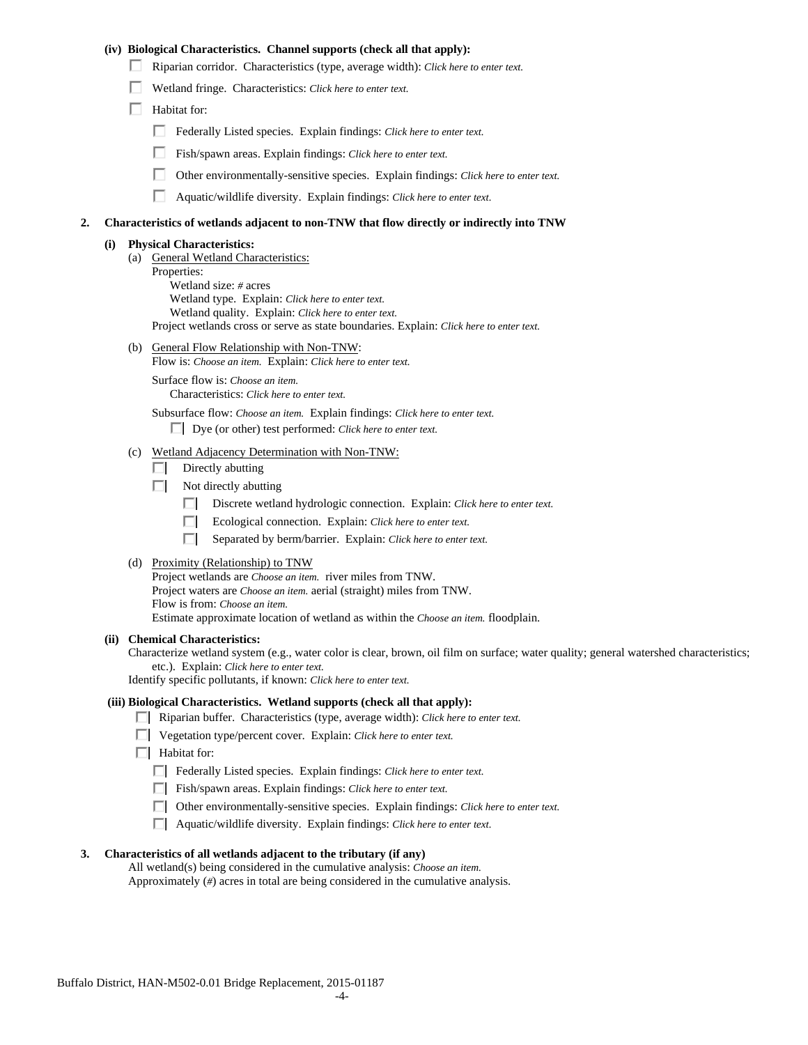## **(iv) Biological Characteristics. Channel supports (check all that apply):**

- Riparian corridor. Characteristics (type, average width): *Click here to enter text.*
- Wetland fringe. Characteristics: *Click here to enter text.*
- $\Box$  Habitat for:
	- Federally Listed species. Explain findings: *Click here to enter text.*
	- п. Fish/spawn areas. Explain findings: *Click here to enter text.*
	- п. Other environmentally-sensitive species. Explain findings: *Click here to enter text.*
	- п. Aquatic/wildlife diversity. Explain findings: *Click here to enter text.*

#### **2. Characteristics of wetlands adjacent to non-TNW that flow directly or indirectly into TNW**

#### **(i) Physical Characteristics:**

- (a) General Wetland Characteristics:
	- Properties:
		- Wetland size: *#* acres Wetland type. Explain: *Click here to enter text.* Wetland quality. Explain: *Click here to enter text.* Project wetlands cross or serve as state boundaries. Explain: *Click here to enter text.*
- (b) General Flow Relationship with Non-TNW: Flow is: *Choose an item.* Explain: *Click here to enter text.*

 Surface flow is: *Choose an item.* Characteristics: *Click here to enter text.*

Subsurface flow: *Choose an item.* Explain findings: *Click here to enter text.*

Dye (or other) test performed: *Click here to enter text.*

### (c) Wetland Adjacency Determination with Non-TNW:

- $\Box$  Directly abutting
- $\Box$  Not directly abutting
	- п. Discrete wetland hydrologic connection. Explain: *Click here to enter text.*
	- Ecological connection. Explain: *Click here to enter text.* O.
	- O. Separated by berm/barrier. Explain: *Click here to enter text.*
- (d) Proximity (Relationship) to TNW

Project wetlands are *Choose an item.* river miles from TNW. Project waters are *Choose an item.* aerial (straight) miles from TNW. Flow is from: *Choose an item.* Estimate approximate location of wetland as within the *Choose an item.* floodplain.

#### **(ii) Chemical Characteristics:**

Characterize wetland system (e.g., water color is clear, brown, oil film on surface; water quality; general watershed characteristics; etc.). Explain: *Click here to enter text.*

Identify specific pollutants, if known: *Click here to enter text.*

## **(iii) Biological Characteristics. Wetland supports (check all that apply):**

- Riparian buffer. Characteristics (type, average width): *Click here to enter text.*
- Vegetation type/percent cover. Explain: *Click here to enter text.*
- $\Box$  Habitat for:
	- Federally Listed species. Explain findings: *Click here to enter text*.
	- Fish/spawn areas. Explain findings: *Click here to enter text*.
	- Other environmentally-sensitive species. Explain findings: *Click here to enter text.*
	- Aquatic/wildlife diversity. Explain findings: *Click here to enter text.*

#### **3. Characteristics of all wetlands adjacent to the tributary (if any)**

 All wetland(s) being considered in the cumulative analysis: *Choose an item.* Approximately (*#*) acres in total are being considered in the cumulative analysis.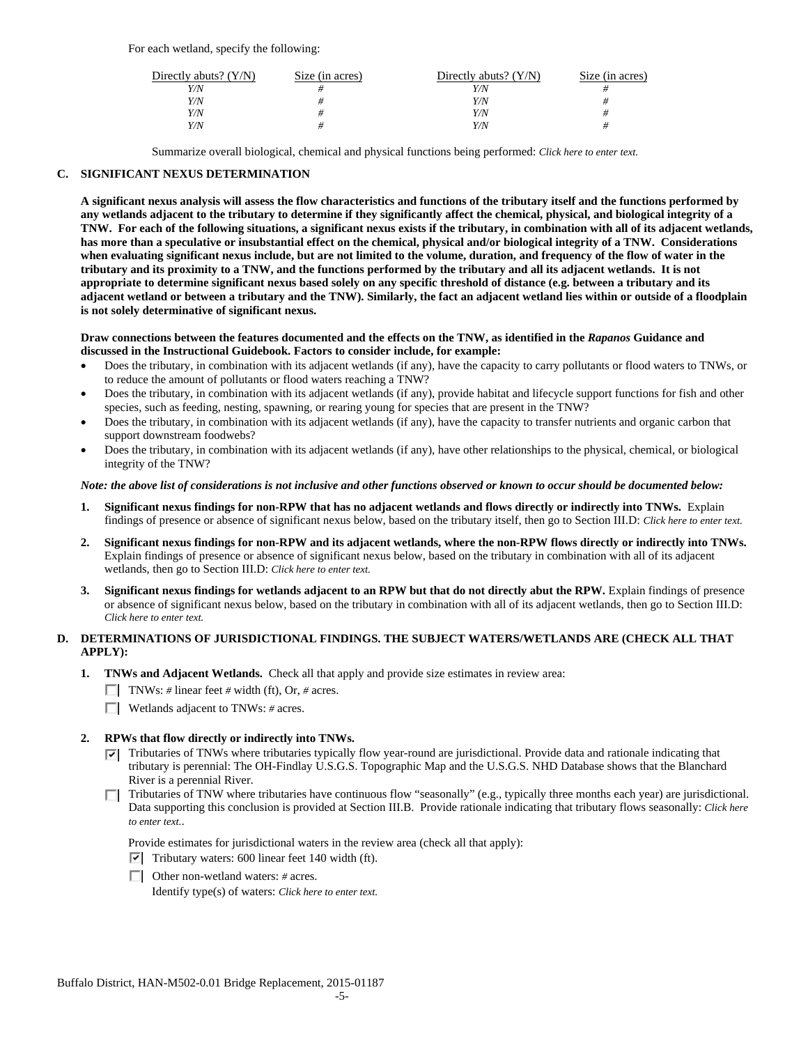| Directly abuts? $(Y/N)$ | Size (in acres) | Directly abuts? $(Y/N)$ | Size (in acres) |
|-------------------------|-----------------|-------------------------|-----------------|
| Y/N                     |                 | Y/N                     |                 |
| Y/N                     |                 | Y/N                     |                 |
| Y/N                     |                 | Y/N                     |                 |
| Y/N                     |                 | Y/N                     |                 |

Summarize overall biological, chemical and physical functions being performed: *Click here to enter text.*

## **C. SIGNIFICANT NEXUS DETERMINATION**

**A significant nexus analysis will assess the flow characteristics and functions of the tributary itself and the functions performed by any wetlands adjacent to the tributary to determine if they significantly affect the chemical, physical, and biological integrity of a TNW. For each of the following situations, a significant nexus exists if the tributary, in combination with all of its adjacent wetlands, has more than a speculative or insubstantial effect on the chemical, physical and/or biological integrity of a TNW. Considerations when evaluating significant nexus include, but are not limited to the volume, duration, and frequency of the flow of water in the tributary and its proximity to a TNW, and the functions performed by the tributary and all its adjacent wetlands. It is not appropriate to determine significant nexus based solely on any specific threshold of distance (e.g. between a tributary and its adjacent wetland or between a tributary and the TNW). Similarly, the fact an adjacent wetland lies within or outside of a floodplain is not solely determinative of significant nexus.** 

### **Draw connections between the features documented and the effects on the TNW, as identified in the** *Rapanos* **Guidance and discussed in the Instructional Guidebook. Factors to consider include, for example:**

- Does the tributary, in combination with its adjacent wetlands (if any), have the capacity to carry pollutants or flood waters to TNWs, or to reduce the amount of pollutants or flood waters reaching a TNW?
- Does the tributary, in combination with its adjacent wetlands (if any), provide habitat and lifecycle support functions for fish and other species, such as feeding, nesting, spawning, or rearing young for species that are present in the TNW?
- Does the tributary, in combination with its adjacent wetlands (if any), have the capacity to transfer nutrients and organic carbon that support downstream foodwebs?
- Does the tributary, in combination with its adjacent wetlands (if any), have other relationships to the physical, chemical, or biological integrity of the TNW?

### *Note: the above list of considerations is not inclusive and other functions observed or known to occur should be documented below:*

- **1. Significant nexus findings for non-RPW that has no adjacent wetlands and flows directly or indirectly into TNWs.** Explain findings of presence or absence of significant nexus below, based on the tributary itself, then go to Section III.D: *Click here to enter text.*
- **2. Significant nexus findings for non-RPW and its adjacent wetlands, where the non-RPW flows directly or indirectly into TNWs.**  Explain findings of presence or absence of significant nexus below, based on the tributary in combination with all of its adjacent wetlands, then go to Section III.D: *Click here to enter text.*
- **3. Significant nexus findings for wetlands adjacent to an RPW but that do not directly abut the RPW.** Explain findings of presence or absence of significant nexus below, based on the tributary in combination with all of its adjacent wetlands, then go to Section III.D: *Click here to enter text.*

# **D. DETERMINATIONS OF JURISDICTIONAL FINDINGS. THE SUBJECT WATERS/WETLANDS ARE (CHECK ALL THAT APPLY):**

- **1. TNWs and Adjacent Wetlands.** Check all that apply and provide size estimates in review area:
	- TNWs: *#* linear feet *#* width (ft), Or, *#* acres.
	- Wetlands adjacent to TNWs: *#* acres.

### **2. RPWs that flow directly or indirectly into TNWs.**

- $\nabla$  Tributaries of TNWs where tributaries typically flow year-round are jurisdictional. Provide data and rationale indicating that tributary is perennial: The OH-Findlay U.S.G.S. Topographic Map and the U.S.G.S. NHD Database shows that the Blanchard River is a perennial River.
- Tributaries of TNW where tributaries have continuous flow "seasonally" (e.g., typically three months each year) are jurisdictional. Data supporting this conclusion is provided at Section III.B. Provide rationale indicating that tributary flows seasonally: *Click here to enter text.*.

Provide estimates for jurisdictional waters in the review area (check all that apply):

- $\triangledown$  Tributary waters: 600 linear feet 140 width (ft).
- Other non-wetland waters: *#* acres.

Identify type(s) of waters: *Click here to enter text.*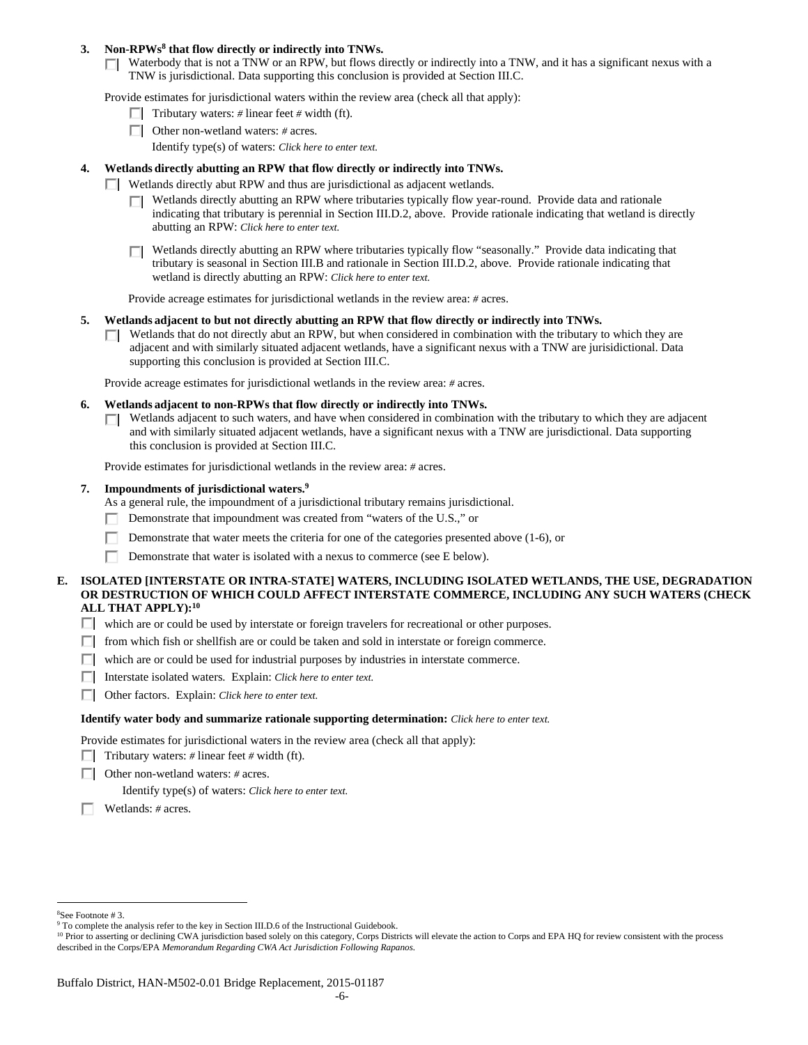## 3. Non-RPWs<sup>8</sup> that flow directly or indirectly into TNWs.

Waterbody that is not a TNW or an RPW, but flows directly or indirectly into a TNW, and it has a significant nexus with a TNW is jurisdictional. Data supporting this conclusion is provided at Section III.C.

Provide estimates for jurisdictional waters within the review area (check all that apply):

- **Tributary waters:**  $\neq$  linear feet  $\neq$  width (ft).
- Other non-wetland waters: *#* acres.
	- Identify type(s) of waters: *Click here to enter text.*

## **4. Wetlands directly abutting an RPW that flow directly or indirectly into TNWs.**

- **Wetlands directly abut RPW and thus are jurisdictional as adjacent wetlands.** 
	- Wetlands directly abutting an RPW where tributaries typically flow year-round. Provide data and rationale indicating that tributary is perennial in Section III.D.2, above. Provide rationale indicating that wetland is directly abutting an RPW: *Click here to enter text.*
	- Wetlands directly abutting an RPW where tributaries typically flow "seasonally." Provide data indicating that П tributary is seasonal in Section III.B and rationale in Section III.D.2, above. Provide rationale indicating that wetland is directly abutting an RPW: *Click here to enter text.*

Provide acreage estimates for jurisdictional wetlands in the review area: *#* acres.

- **5. Wetlands adjacent to but not directly abutting an RPW that flow directly or indirectly into TNWs.** 
	- $\Box$  Wetlands that do not directly abut an RPW, but when considered in combination with the tributary to which they are adjacent and with similarly situated adjacent wetlands, have a significant nexus with a TNW are jurisidictional. Data supporting this conclusion is provided at Section III.C.

Provide acreage estimates for jurisdictional wetlands in the review area: *#* acres.

- **6. Wetlands adjacent to non-RPWs that flow directly or indirectly into TNWs.** 
	- Wetlands adjacent to such waters, and have when considered in combination with the tributary to which they are adjacent  $\Box$ and with similarly situated adjacent wetlands, have a significant nexus with a TNW are jurisdictional. Data supporting this conclusion is provided at Section III.C.

Provide estimates for jurisdictional wetlands in the review area: *#* acres.

### **7. Impoundments of jurisdictional waters.9**

As a general rule, the impoundment of a jurisdictional tributary remains jurisdictional.

- Demonstrate that impoundment was created from "waters of the U.S.," or
- Demonstrate that water meets the criteria for one of the categories presented above (1-6), or
- Demonstrate that water is isolated with a nexus to commerce (see E below).

## **E. ISOLATED [INTERSTATE OR INTRA-STATE] WATERS, INCLUDING ISOLATED WETLANDS, THE USE, DEGRADATION OR DESTRUCTION OF WHICH COULD AFFECT INTERSTATE COMMERCE, INCLUDING ANY SUCH WATERS (CHECK ALL THAT APPLY):10**

- which are or could be used by interstate or foreign travelers for recreational or other purposes.
- $\Box$  from which fish or shellfish are or could be taken and sold in interstate or foreign commerce.
- $\Box$  which are or could be used for industrial purposes by industries in interstate commerce.
- Interstate isolated waters.Explain: *Click here to enter text.*
- Other factors.Explain: *Click here to enter text.*

### **Identify water body and summarize rationale supporting determination:** *Click here to enter text.*

Provide estimates for jurisdictional waters in the review area (check all that apply):

- **Tributary waters:**  $\neq$  linear feet  $\neq$  width (ft).
- Other non-wetland waters: *#* acres.

Identify type(s) of waters: *Click here to enter text.*

Wetlands: *#* acres.

 $\overline{a}$ 

<sup>8</sup> See Footnote # 3.

<sup>&</sup>lt;sup>9</sup> To complete the analysis refer to the key in Section III.D.6 of the Instructional Guidebook.

<sup>&</sup>lt;sup>10</sup> Prior to asserting or declining CWA jurisdiction based solely on this category, Corps Districts will elevate the action to Corps and EPA HQ for review consistent with the process described in the Corps/EPA *Memorandum Regarding CWA Act Jurisdiction Following Rapanos.*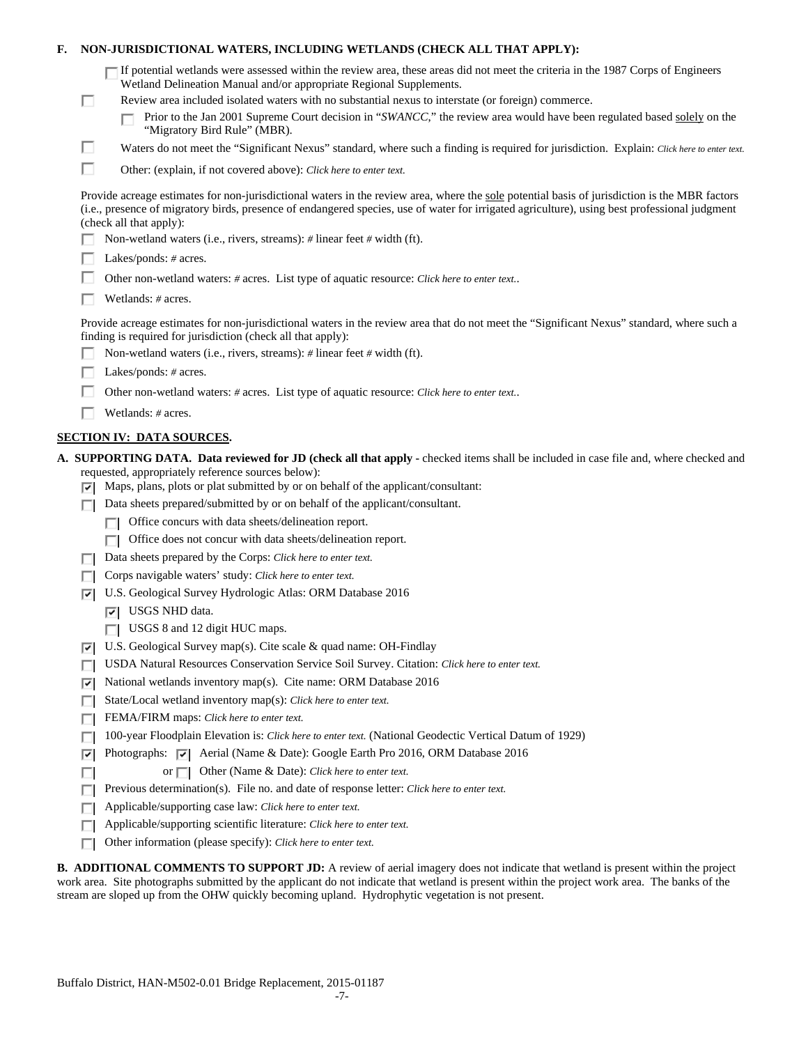| F. |        | NON-JURISDICTIONAL WATERS, INCLUDING WETLANDS (CHECK ALL THAT APPLY):                                                                                                                                                                                                                                                                                                                                                                     |
|----|--------|-------------------------------------------------------------------------------------------------------------------------------------------------------------------------------------------------------------------------------------------------------------------------------------------------------------------------------------------------------------------------------------------------------------------------------------------|
|    | ш      | If potential wetlands were assessed within the review area, these areas did not meet the criteria in the 1987 Corps of Engineers<br>Wetland Delineation Manual and/or appropriate Regional Supplements.<br>Review area included isolated waters with no substantial nexus to interstate (or foreign) commerce.<br>Prior to the Jan 2001 Supreme Court decision in "SWANCC," the review area would have been regulated based solely on the |
|    |        | "Migratory Bird Rule" (MBR).                                                                                                                                                                                                                                                                                                                                                                                                              |
|    | □      | Waters do not meet the "Significant Nexus" standard, where such a finding is required for jurisdiction. Explain: Click here to enter text.                                                                                                                                                                                                                                                                                                |
|    | п      | Other: (explain, if not covered above): Click here to enter text.                                                                                                                                                                                                                                                                                                                                                                         |
|    |        | Provide acreage estimates for non-jurisdictional waters in the review area, where the sole potential basis of jurisdiction is the MBR factors<br>(i.e., presence of migratory birds, presence of endangered species, use of water for irrigated agriculture), using best professional judgment<br>(check all that apply):                                                                                                                 |
|    |        | Non-wetland waters (i.e., rivers, streams): $\#$ linear feet $\#$ width (ft).                                                                                                                                                                                                                                                                                                                                                             |
|    |        | Lakes/ponds: # acres.                                                                                                                                                                                                                                                                                                                                                                                                                     |
|    |        | Other non-wetland waters: # acres. List type of aquatic resource: Click here to enter text                                                                                                                                                                                                                                                                                                                                                |
|    |        | Wetlands: $#$ acres.                                                                                                                                                                                                                                                                                                                                                                                                                      |
|    |        | Provide acreage estimates for non-jurisdictional waters in the review area that do not meet the "Significant Nexus" standard, where such a<br>finding is required for jurisdiction (check all that apply):                                                                                                                                                                                                                                |
|    |        | Non-wetland waters (i.e., rivers, streams): $\#$ linear feet $\#$ width (ft).                                                                                                                                                                                                                                                                                                                                                             |
|    |        | Lakes/ponds: $# \, \text{acres.}$                                                                                                                                                                                                                                                                                                                                                                                                         |
|    |        | Other non-wetland waters: # acres. List type of aquatic resource: Click here to enter text                                                                                                                                                                                                                                                                                                                                                |
|    |        | Wetlands: # acres.                                                                                                                                                                                                                                                                                                                                                                                                                        |
|    |        | <b>SECTION IV: DATA SOURCES.</b>                                                                                                                                                                                                                                                                                                                                                                                                          |
|    | 罓      | A. SUPPORTING DATA. Data reviewed for JD (check all that apply - checked items shall be included in case file and, where checked and<br>requested, appropriately reference sources below):<br>Maps, plans, plots or plat submitted by or on behalf of the applicant/consultant:                                                                                                                                                           |
|    |        | Data sheets prepared/submitted by or on behalf of the applicant/consultant.                                                                                                                                                                                                                                                                                                                                                               |
|    |        | Office concurs with data sheets/delineation report.                                                                                                                                                                                                                                                                                                                                                                                       |
|    |        | Office does not concur with data sheets/delineation report.                                                                                                                                                                                                                                                                                                                                                                               |
|    |        | Data sheets prepared by the Corps: Click here to enter text.                                                                                                                                                                                                                                                                                                                                                                              |
|    |        | Corps navigable waters' study: Click here to enter text.                                                                                                                                                                                                                                                                                                                                                                                  |
|    | ⊡      | U.S. Geological Survey Hydrologic Atlas: ORM Database 2016                                                                                                                                                                                                                                                                                                                                                                                |
|    |        | $ \overline{v} $ USGS NHD data.                                                                                                                                                                                                                                                                                                                                                                                                           |
|    |        | USGS 8 and 12 digit HUC maps.                                                                                                                                                                                                                                                                                                                                                                                                             |
|    | ∣∽∣    | U.S. Geological Survey map(s). Cite scale & quad name: OH-Findlay                                                                                                                                                                                                                                                                                                                                                                         |
|    |        | USDA Natural Resources Conservation Service Soil Survey. Citation: Click here to enter text.                                                                                                                                                                                                                                                                                                                                              |
|    | 罓      | National wetlands inventory map(s). Cite name: ORM Database 2016                                                                                                                                                                                                                                                                                                                                                                          |
|    | Е      | State/Local wetland inventory map(s): Click here to enter text.                                                                                                                                                                                                                                                                                                                                                                           |
|    | п      | FEMA/FIRM maps: Click here to enter text.                                                                                                                                                                                                                                                                                                                                                                                                 |
|    | п      | 100-year Floodplain Elevation is: Click here to enter text. (National Geodectic Vertical Datum of 1929)<br>Photographs: $\overline{ \mathbf{v} }$ Aerial (Name & Date): Google Earth Pro 2016, ORM Database 2016                                                                                                                                                                                                                          |
|    | ⊽      | Other (Name & Date): Click here to enter text.<br>or $\Box$                                                                                                                                                                                                                                                                                                                                                                               |
|    |        | Previous determination(s). File no. and date of response letter: Click here to enter text.                                                                                                                                                                                                                                                                                                                                                |
|    | г<br>ш | Applicable/supporting case law: Click here to enter text.                                                                                                                                                                                                                                                                                                                                                                                 |
|    |        | Applicable/supporting scientific literature: Click here to enter text.                                                                                                                                                                                                                                                                                                                                                                    |
|    |        | Other information (please specify): Click here to enter text.                                                                                                                                                                                                                                                                                                                                                                             |
|    |        |                                                                                                                                                                                                                                                                                                                                                                                                                                           |

**B. ADDITIONAL COMMENTS TO SUPPORT JD:** A review of aerial imagery does not indicate that wetland is present within the project work area. Site photographs submitted by the applicant do not indicate that wetland is present within the project work area. The banks of the stream are sloped up from the OHW quickly becoming upland. Hydrophytic vegetation is not present.